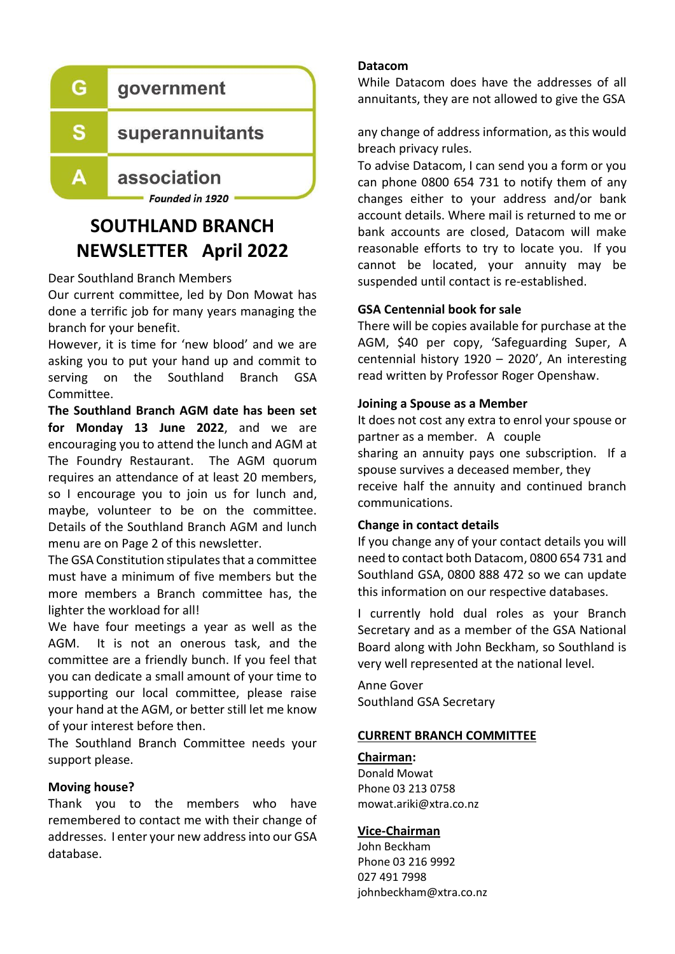

# **SOUTHLAND BRANCH NEWSLETTER April 2022**

Dear Southland Branch Members

Our current committee, led by Don Mowat has done a terrific job for many years managing the branch for your benefit.

However, it is time for 'new blood' and we are asking you to put your hand up and commit to serving on the Southland Branch GSA Committee.

**The Southland Branch AGM date has been set for Monday 13 June 2022**, and we are encouraging you to attend the lunch and AGM at The Foundry Restaurant. The AGM quorum requires an attendance of at least 20 members, so I encourage you to join us for lunch and, maybe, volunteer to be on the committee. Details of the Southland Branch AGM and lunch menu are on Page 2 of this newsletter.

The GSA Constitution stipulates that a committee must have a minimum of five members but the more members a Branch committee has, the lighter the workload for all!

We have four meetings a year as well as the AGM. It is not an onerous task, and the committee are a friendly bunch. If you feel that you can dedicate a small amount of your time to supporting our local committee, please raise your hand at the AGM, or better still let me know of your interest before then.

The Southland Branch Committee needs your support please.

# **Moving house?**

Thank you to the members who have remembered to contact me with their change of addresses. I enter your new address into our GSA database.

#### **Datacom**

While Datacom does have the addresses of all annuitants, they are not allowed to give the GSA

any change of address information, as this would breach privacy rules.

To advise Datacom, I can send you a form or you can phone 0800 654 731 to notify them of any changes either to your address and/or bank account details. Where mail is returned to me or bank accounts are closed, Datacom will make reasonable efforts to try to locate you. If you cannot be located, your annuity may be suspended until contact is re-established.

# **GSA Centennial book for sale**

There will be copies available for purchase at the AGM, \$40 per copy, 'Safeguarding Super, A centennial history 1920 – 2020', An interesting read written by Professor Roger Openshaw.

#### **Joining a Spouse as a Member**

It does not cost any extra to enrol your spouse or partner as a member. A couple sharing an annuity pays one subscription. If a spouse survives a deceased member, they receive half the annuity and continued branch communications.

#### **Change in contact details**

If you change any of your contact details you will need to contact both Datacom, 0800 654 731 and Southland GSA, 0800 888 472 so we can update this information on our respective databases.

I currently hold dual roles as your Branch Secretary and as a member of the GSA National Board along with John Beckham, so Southland is very well represented at the national level.

Anne Gover Southland GSA Secretary

#### **CURRENT BRANCH COMMITTEE**

#### **Chairman:**

Donald Mowat Phone 03 213 0758 mowat.ariki@xtra.co.nz

#### **Vice-Chairman**

John Beckham Phone 03 216 9992 027 491 7998 johnbeckham@xtra.co.nz